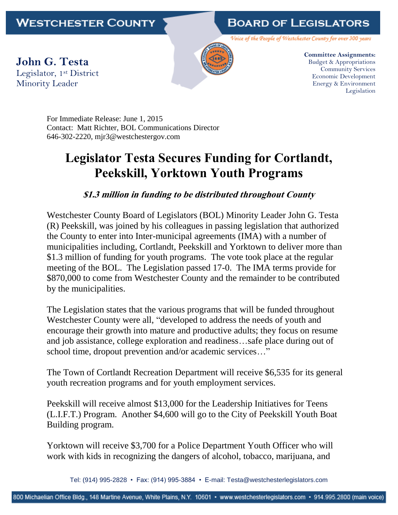## **BOARD OF LEGISLATORS**

Voice of the People of Westchester County for over 300 years

**John G. Testa** Legislator, 1st District Minority Leader



**Committee Assignments:** Budget & Appropriations Community Services Economic Development Energy & Environment Legislation

For Immediate Release: June 1, 2015 Contact: Matt Richter, BOL Communications Director 646-302-2220, mjr3@westchestergov.com

## **Legislator Testa Secures Funding for Cortlandt, Peekskill, Yorktown Youth Programs**

## **\$1.3 million in funding to be distributed throughout County**

Westchester County Board of Legislators (BOL) Minority Leader John G. Testa (R) Peekskill, was joined by his colleagues in passing legislation that authorized the County to enter into Inter-municipal agreements (IMA) with a number of municipalities including, Cortlandt, Peekskill and Yorktown to deliver more than \$1.3 million of funding for youth programs. The vote took place at the regular meeting of the BOL. The Legislation passed 17-0. The IMA terms provide for \$870,000 to come from Westchester County and the remainder to be contributed by the municipalities.

The Legislation states that the various programs that will be funded throughout Westchester County were all, "developed to address the needs of youth and encourage their growth into mature and productive adults; they focus on resume and job assistance, college exploration and readiness…safe place during out of school time, dropout prevention and/or academic services…"

The Town of Cortlandt Recreation Department will receive \$6,535 for its general youth recreation programs and for youth employment services.

Peekskill will receive almost \$13,000 for the Leadership Initiatives for Teens (L.I.F.T.) Program. Another \$4,600 will go to the City of Peekskill Youth Boat Building program.

Yorktown will receive \$3,700 for a Police Department Youth Officer who will work with kids in recognizing the dangers of alcohol, tobacco, marijuana, and

Tel: (914) 995-2828 • Fax: (914) 995-3884 • E-mail: Testa@westchesterlegislators.com